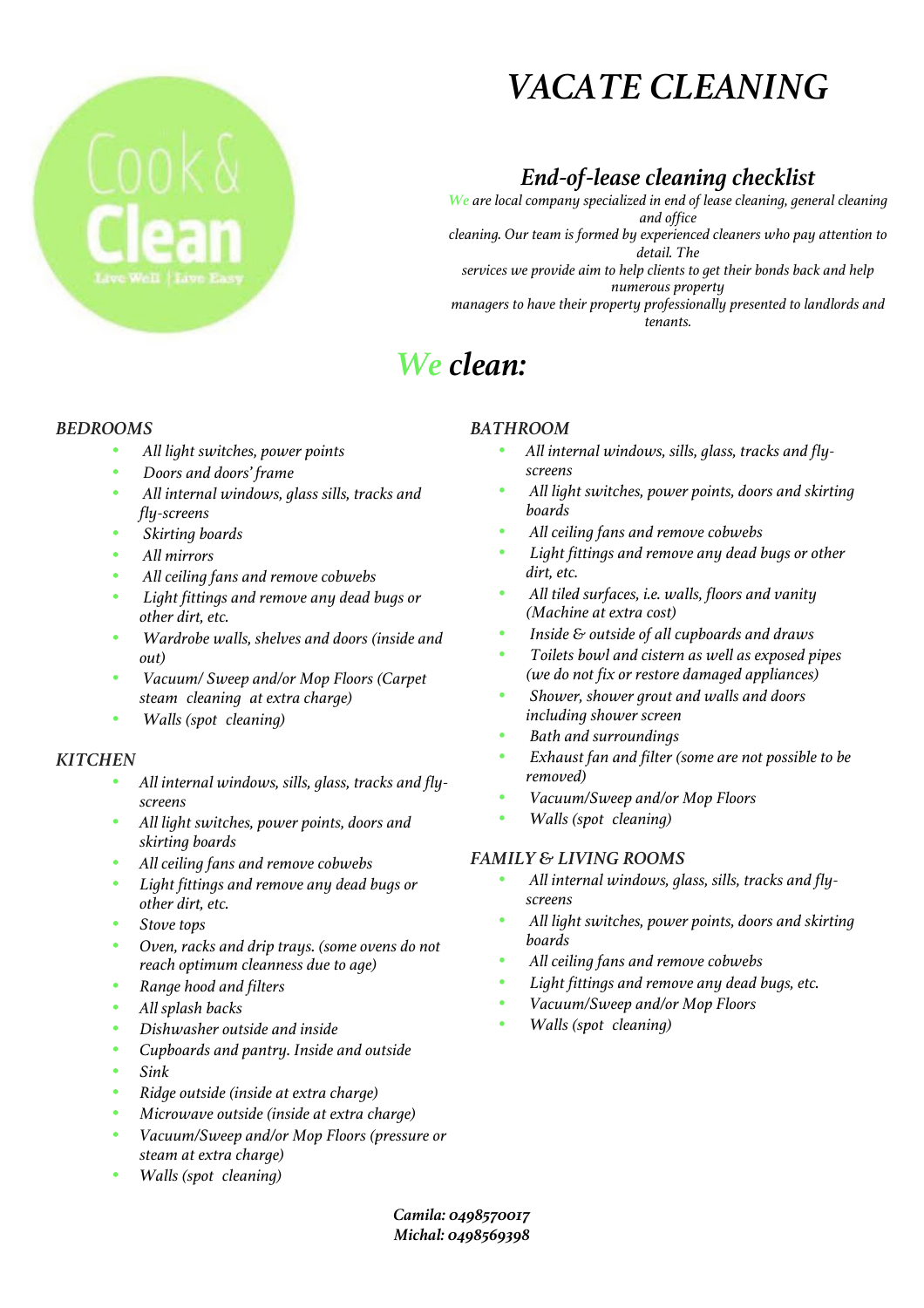# *VACATE CLEANING*

### *End-of-lease cleaning checklist*

*We are local company specialized in end of lease cleaning, general cleaning and office cleaning. Our team is formed by experienced cleaners who pay attention to detail. The services we provide aim to help clients to get their bonds back and help numerous property managers to have their property professionally presented to landlords and tenants.*

## *We clean:*

#### *BEDROOMS*

- *All light switches, power points*
- *Doors and doors' frame*
- *All internal windows, glass sills, tracks and fly-screens*
- *Skirting boards*
- *All mirrors*
- *All ceiling fans and remove cobwebs*
- *Light fittings and remove any dead bugs or other dirt, etc.*
- *Wardrobe walls, shelves and doors (inside and out)*
- *Vacuum/ Sweep and/or Mop Floors (Carpet steam cleaning at extra charge)*
- *Walls (spot cleaning)*

#### *KITCHEN*

- *All internal windows, sills, glass, tracks and flyscreens*
- *All light switches, power points, doors and skirting boards*
- *All ceiling fans and remove cobwebs*
- *Light fittings and remove any dead bugs or other dirt, etc.*
- *Stove tops*
- *Oven, racks and drip trays. (some ovens do not reach optimum cleanness due to age)*
- *Range hood and filters*
- *All splash backs*
- *Dishwasher outside and inside*
- *Cupboards and pantry. Inside and outside*
- *Sink*
- *Ridge outside (inside at extra charge)*
- *Microwave outside (inside at extra charge)*
- *Vacuum/Sweep and/or Mop Floors (pressure or steam at extra charge)*
- *Walls (spot cleaning)*

### *BATHROOM*

- *All internal windows, sills, glass, tracks and flyscreens*
- *All light switches, power points, doors and skirting boards*
- *All ceiling fans and remove cobwebs*
- *Light fittings and remove any dead bugs or other dirt, etc.*
- *All tiled surfaces, i.e. walls, floors and vanity (Machine at extra cost)*
- *Inside & outside of all cupboards and draws*
- *Toilets bowl and cistern as well as exposed pipes (we do not fix or restore damaged appliances)*
- *Shower, shower grout and walls and doors including shower screen*
- *Bath and surroundings*
- *Exhaust fan and filter (some are not possible to be removed)*
- *Vacuum/Sweep and/or Mop Floors*
- *Walls (spot cleaning)*

### *FAMILY & LIVING ROOMS*

- *All internal windows, glass, sills, tracks and flyscreens*
- *All light switches, power points, doors and skirting boards*
- *All ceiling fans and remove cobwebs*
- *Light fittings and remove any dead bugs, etc.*
- *Vacuum/Sweep and/or Mop Floors*
- *Walls (spot cleaning)*

*Camila: 0498570017 Michal: 0498569398*